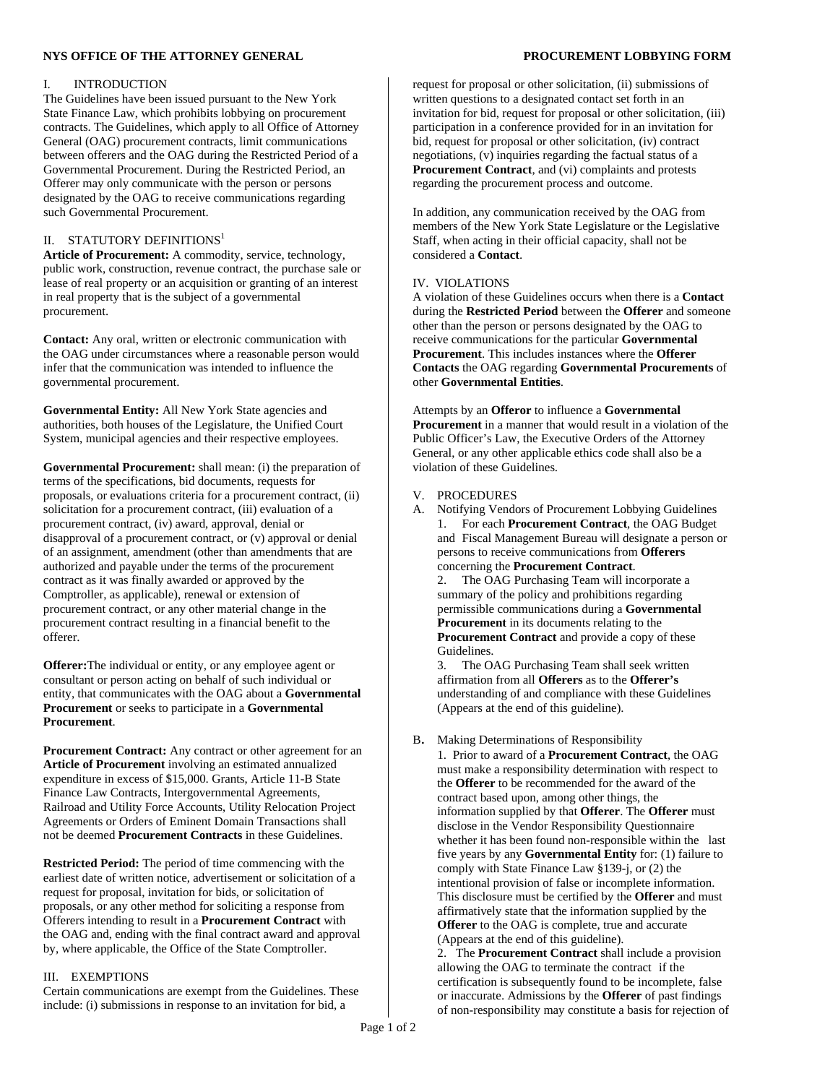# **NYS OFFICE OF THE ATTORNEY GENERAL PROCUREMENT LOBBYING FORM**

## I. INTRODUCTION

The Guidelines have been issued pursuant to the New York State Finance Law, which prohibits lobbying on procurement contracts. The Guidelines, which apply to all Office of Attorney General (OAG) procurement contracts, limit communications between offerers and the OAG during the Restricted Period of a Governmental Procurement. During the Restricted Period, an Offerer may only communicate with the person or persons designated by the OAG to receive communications regarding such Governmental Procurement.

# II. STATUTORY DEFINITIONS1

**Article of Procurement:** A commodity, service, technology, public work, construction, revenue contract, the purchase sale or lease of real property or an acquisition or granting of an interest in real property that is the subject of a governmental procurement.

**Contact:** Any oral, written or electronic communication with the OAG under circumstances where a reasonable person would infer that the communication was intended to influence the governmental procurement.

**Governmental Entity:** All New York State agencies and authorities, both houses of the Legislature, the Unified Court System, municipal agencies and their respective employees.

**Governmental Procurement:** shall mean: (i) the preparation of terms of the specifications, bid documents, requests for proposals, or evaluations criteria for a procurement contract, (ii) solicitation for a procurement contract, (iii) evaluation of a procurement contract, (iv) award, approval, denial or disapproval of a procurement contract, or (v) approval or denial of an assignment, amendment (other than amendments that are authorized and payable under the terms of the procurement contract as it was finally awarded or approved by the Comptroller, as applicable), renewal or extension of procurement contract, or any other material change in the procurement contract resulting in a financial benefit to the offerer.

**Offerer:**The individual or entity, or any employee agent or consultant or person acting on behalf of such individual or entity, that communicates with the OAG about a **Governmental Procurement** or seeks to participate in a **Governmental Procurement**.

**Procurement Contract:** Any contract or other agreement for an **Article of Procurement** involving an estimated annualized expenditure in excess of \$15,000. Grants, Article 11-B State Finance Law Contracts, Intergovernmental Agreements, Railroad and Utility Force Accounts, Utility Relocation Project Agreements or Orders of Eminent Domain Transactions shall not be deemed **Procurement Contracts** in these Guidelines.

**Restricted Period:** The period of time commencing with the earliest date of written notice, advertisement or solicitation of a request for proposal, invitation for bids, or solicitation of proposals, or any other method for soliciting a response from Offerers intending to result in a **Procurement Contract** with the OAG and, ending with the final contract award and approval by, where applicable, the Office of the State Comptroller.

### III. EXEMPTIONS

Certain communications are exempt from the Guidelines. These include: (i) submissions in response to an invitation for bid, a

request for proposal or other solicitation, (ii) submissions of written questions to a designated contact set forth in an invitation for bid, request for proposal or other solicitation, (iii) participation in a conference provided for in an invitation for bid, request for proposal or other solicitation, (iv) contract negotiations, (v) inquiries regarding the factual status of a **Procurement Contract**, and (vi) complaints and protests regarding the procurement process and outcome.

In addition, any communication received by the OAG from members of the New York State Legislature or the Legislative Staff, when acting in their official capacity, shall not be considered a **Contact**.

## IV. VIOLATIONS

A violation of these Guidelines occurs when there is a **Contact**  during the **Restricted Period** between the **Offerer** and someone other than the person or persons designated by the OAG to receive communications for the particular **Governmental Procurement**. This includes instances where the **Offerer Contacts** the OAG regarding **Governmental Procurements** of other **Governmental Entities**.

Attempts by an **Offeror** to influence a **Governmental Procurement** in a manner that would result in a violation of the Public Officer's Law, the Executive Orders of the Attorney General, or any other applicable ethics code shall also be a violation of these Guidelines.

- V. PROCEDURES
- A. Notifying Vendors of Procurement Lobbying Guidelines 1. For each **Procurement Contract**, the OAG Budget and Fiscal Management Bureau will designate a person or persons to receive communications from **Offerers**  concerning the **Procurement Contract**.

 2. The OAG Purchasing Team will incorporate a summary of the policy and prohibitions regarding permissible communications during a **Governmental Procurement** in its documents relating to the **Procurement Contract** and provide a copy of these Guidelines.

 3. The OAG Purchasing Team shall seek written affirmation from all **Offerers** as to the **Offerer's**  understanding of and compliance with these Guidelines (Appears at the end of this guideline).

#### B. Making Determinations of Responsibility

 1. Prior to award of a **Procurement Contract**, the OAG must make a responsibility determination with respect to the **Offerer** to be recommended for the award of the contract based upon, among other things, the information supplied by that **Offerer**. The **Offerer** must disclose in the Vendor Responsibility Questionnaire whether it has been found non-responsible within the last five years by any **Governmental Entity** for: (1) failure to comply with State Finance Law §139-j, or (2) the intentional provision of false or incomplete information. This disclosure must be certified by the **Offerer** and must affirmatively state that the information supplied by the **Offerer** to the OAG is complete, true and accurate (Appears at the end of this guideline).

 2. The **Procurement Contract** shall include a provision allowing the OAG to terminate the contract if the certification is subsequently found to be incomplete, false or inaccurate. Admissions by the **Offerer** of past findings of non-responsibility may constitute a basis for rejection of